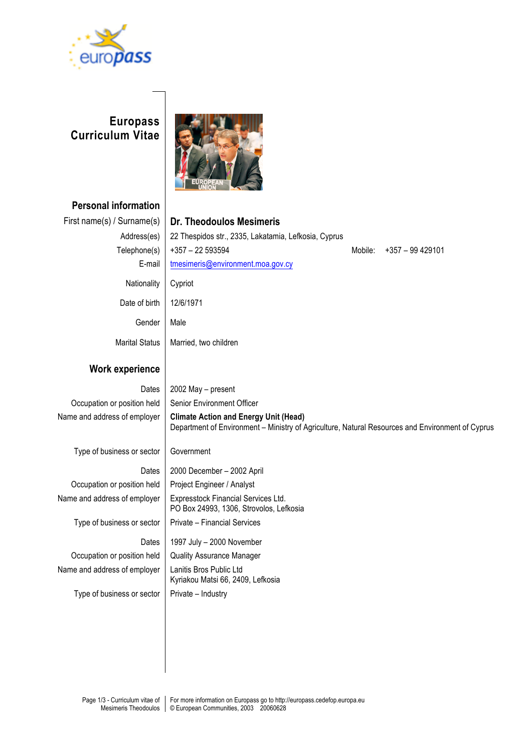

## **Europass Curriculum Vitae**



**Personal information** First name(s) / Surname(s) **Dr. Theodoulos Mesimeris** Address(es) 22 Thespidos str., 2335, Lakatamia, Lefkosia, Cyprus Telephone(s) +357 – 22 593594 Mobile: +357 – 99 429101 E-mail  $\vert$  tmesimeris@environment.moa.gov.cy Nationality Cypriot Date of birth | 12/6/1971 Gender Marital Status Male Married, two children **Work experience** Dates  $\vert$  2002 May – present

# Occupation or position held | Senior Environment Officer Name and address of employer **Climate Action and Energy Unit (Head)** Department of Environment – Ministry of Agriculture, Natural Resources and Environment of Cyprus Type of business or sector Government Dates | 2000 December – 2002 April Occupation or position held | Project Engineer / Analyst Name and address of employer | Expresstock Financial Services Ltd. PO Box 24993, 1306, Strovolos, Lefkosia Type of business or sector  $|$  Private – Financial Services Dates | 1997 July – 2000 November Occupation or position held | Quality Assurance Manager Name and address of employer | Lanitis Bros Public Ltd Kyriakou Matsi 66, 2409, Lefkosia Type of business or sector  $\vert$  Private – Industry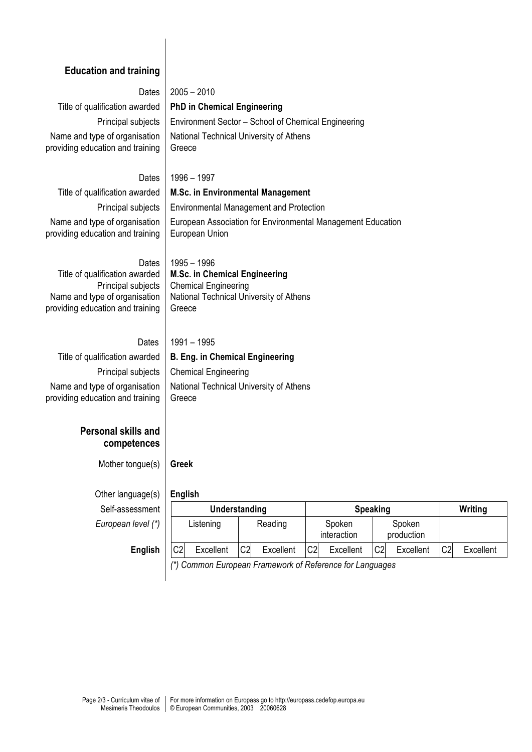### **Education and training**

Dates  $|2005 - 2010$ Title of qualification awarded **PhD in Chemical Engineering** Principal subjects | Environment Sector – School of Chemical Engineering Name and type of organisation providing education and training

### Dates 1996 – 1997

Greece

Title of qualification awarded **M.Sc. in Environmental Management** Name and type of organisation providing education and training

Principal subjects | Environmental Management and Protection European Association for Environmental Management Education European Union

National Technical University of Athens

#### Dates 1995 – 1996

Title of qualification awarded Principal subjects Name and type of organisation providing education and training **M.Sc. in Chemical Engineering** Chemical Engineering National Technical University of Athens Greece

#### **Dates** 1991 – 1995

### Title of qualification awarded **B. Eng. in Chemical Engineering** Principal subjects | Chemical Engineering Name and type of organisation providing education and training National Technical University of Athens Greece

### **Personal skills and competences**

Mother tongue(s) **Greek**

Other language(s) **English**  $Self-assessment$ *European level (\*)* 

| ,              |                |               |                 |    |                       |                             |                |           |
|----------------|----------------|---------------|-----------------|----|-----------------------|-----------------------------|----------------|-----------|
| essment        |                | Understanding |                 |    | <b>Speaking</b>       |                             |                | Writing   |
| $level (*)$    |                | Listening     | Reading         |    | Spoken<br>interaction | Spoken<br>production        |                |           |
| <b>English</b> | C <sub>2</sub> | Excellent     | C2<br>Excellent | C2 | Excellent             | C <sub>2</sub><br>Excellent | C <sub>2</sub> | Excellent |

*(\*) Common European Framework of Reference for Languages*